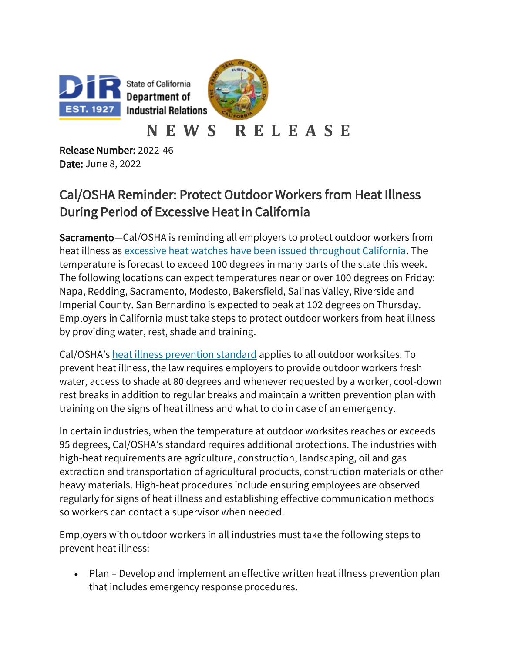



**N E W S R E L E A S E**

Release Number: 2022-46 Date: June 8, 2022

## Cal/OSHA Reminder: Protect Outdoor Workers from Heat Illness During Period of Excessive Heat in California

Sacramento—Cal/OSHA is reminding all employers to protect outdoor workers from heat illness as [excessive heat watches have been issued throughout California.](https://www.wrh.noaa.gov/hazardSummary/?state=ca&bycounty=1) The temperature is forecast to exceed 100 degrees in many parts of the state this week. The following locations can expect temperatures near or over 100 degrees on Friday: Napa, Redding, Sacramento, Modesto, Bakersfield, Salinas Valley, Riverside and Imperial County. San Bernardino is expected to peak at 102 degrees on Thursday. Employers in California must take steps to protect outdoor workers from heat illness by providing water, rest, shade and training.

Cal/OSHA's [heat illness prevention standard](https://www.dir.ca.gov/title8/3395.html) applies to all outdoor worksites. To prevent heat illness, the law requires employers to provide outdoor workers fresh water, access to shade at 80 degrees and whenever requested by a worker, cool-down rest breaks in addition to regular breaks and maintain a written prevention plan with training on the signs of heat illness and what to do in case of an emergency.

In certain industries, when the temperature at outdoor worksites reaches or exceeds 95 degrees, Cal/OSHA's standard requires additional protections. The industries with high-heat requirements are agriculture, construction, landscaping, oil and gas extraction and transportation of agricultural products, construction materials or other heavy materials. High-heat procedures include ensuring employees are observed regularly for signs of heat illness and establishing effective communication methods so workers can contact a supervisor when needed.

Employers with outdoor workers in all industries must take the following steps to prevent heat illness:

• Plan – Develop and implement an effective written heat illness prevention plan that includes emergency response procedures.